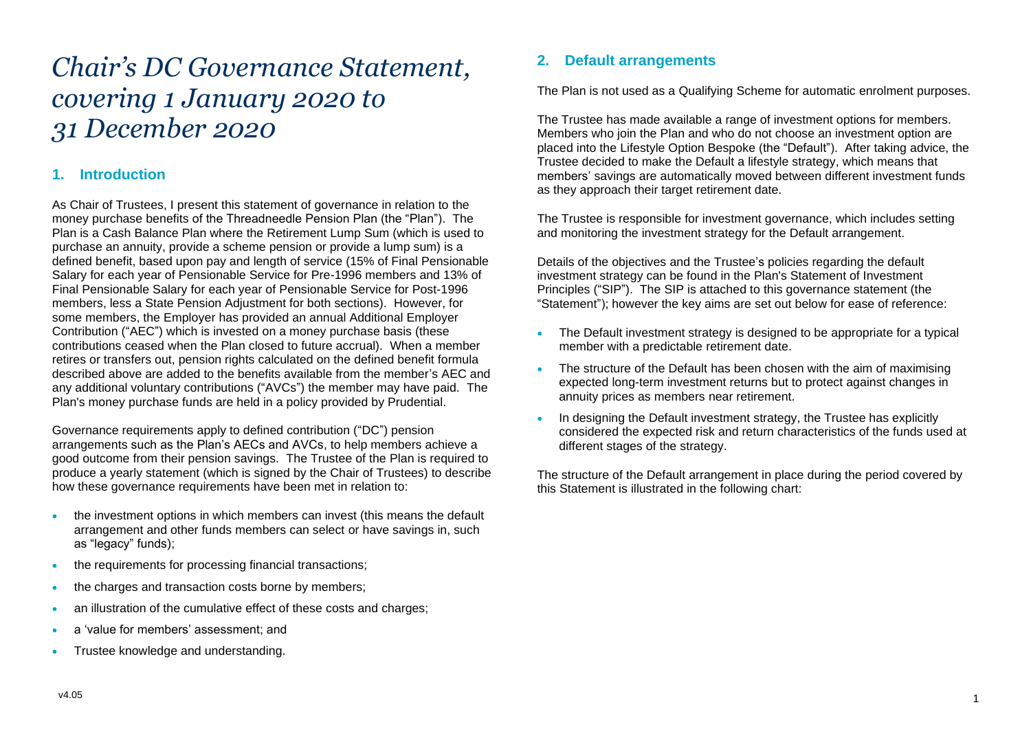# *Chair's DC Governance Statement, covering 1 January 2020 to 31 December 2020*

# **1. Introduction**

As Chair of Trustees, I present this statement of governance in relation to the money purchase benefits of the Threadneedle Pension Plan (the "Plan"). The Plan is a Cash Balance Plan where the Retirement Lump Sum (which is used to purchase an annuity, provide a scheme pension or provide a lump sum) is a defined benefit, based upon pay and length of service (15% of Final Pensionable Salary for each year of Pensionable Service for Pre-1996 members and 13% of Final Pensionable Salary for each year of Pensionable Service for Post-1996 members, less a State Pension Adjustment for both sections). However, for some members, the Employer has provided an annual Additional Employer Contribution ("AEC") which is invested on a money purchase basis (these contributions ceased when the Plan closed to future accrual). When a member retires or transfers out, pension rights calculated on the defined benefit formula described above are added to the benefits available from the member's AEC and any additional voluntary contributions ("AVCs") the member may have paid. The Plan's money purchase funds are held in a policy provided by Prudential.

Governance requirements apply to defined contribution ("DC") pension arrangements such as the Plan's AECs and AVCs, to help members achieve a good outcome from their pension savings. The Trustee of the Plan is required to produce a yearly statement (which is signed by the Chair of Trustees) to describe how these governance requirements have been met in relation to:

- the investment options in which members can invest (this means the default arrangement and other funds members can select or have savings in, such as "legacy" funds);
- the requirements for processing financial transactions;
- the charges and transaction costs borne by members;
- an illustration of the cumulative effect of these costs and charges;
- a 'value for members' assessment; and
- Trustee knowledge and understanding.

# **2. Default arrangements**

The Plan is not used as a Qualifying Scheme for automatic enrolment purposes.

The Trustee has made available a range of investment options for members. Members who join the Plan and who do not choose an investment option are placed into the Lifestyle Option Bespoke (the "Default"). After taking advice, the Trustee decided to make the Default a lifestyle strategy, which means that members' savings are automatically moved between different investment funds as they approach their target retirement date.

The Trustee is responsible for investment governance, which includes setting and monitoring the investment strategy for the Default arrangement.

Details of the objectives and the Trustee's policies regarding the default investment strategy can be found in the Plan's Statement of Investment Principles ("SIP"). The SIP is attached to this governance statement (the "Statement"); however the key aims are set out below for ease of reference:

- The Default investment strategy is designed to be appropriate for a typical member with a predictable retirement date.
- The structure of the Default has been chosen with the aim of maximising expected long-term investment returns but to protect against changes in annuity prices as members near retirement.
- In designing the Default investment strategy, the Trustee has explicitly considered the expected risk and return characteristics of the funds used at different stages of the strategy.

The structure of the Default arrangement in place during the period covered by this Statement is illustrated in the following chart: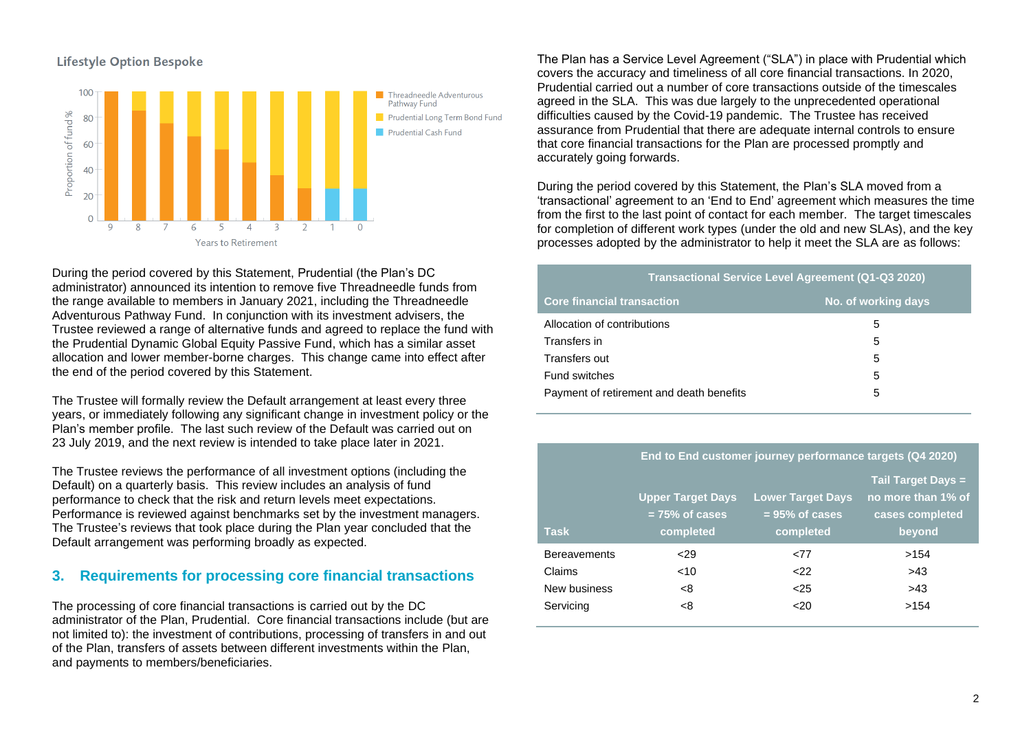



During the period covered by this Statement, Prudential (the Plan's DC administrator) announced its intention to remove five Threadneedle funds from the range available to members in January 2021, including the Threadneedle Adventurous Pathway Fund. In conjunction with its investment advisers, the Trustee reviewed a range of alternative funds and agreed to replace the fund with the Prudential Dynamic Global Equity Passive Fund, which has a similar asset allocation and lower member-borne charges. This change came into effect after the end of the period covered by this Statement.

The Trustee will formally review the Default arrangement at least every three years, or immediately following any significant change in investment policy or the Plan's member profile. The last such review of the Default was carried out on 23 July 2019, and the next review is intended to take place later in 2021.

The Trustee reviews the performance of all investment options (including the Default) on a quarterly basis. This review includes an analysis of fund performance to check that the risk and return levels meet expectations. Performance is reviewed against benchmarks set by the investment managers. The Trustee's reviews that took place during the Plan year concluded that the Default arrangement was performing broadly as expected.

# **3. Requirements for processing core financial transactions**

The processing of core financial transactions is carried out by the DC administrator of the Plan, Prudential. Core financial transactions include (but are not limited to): the investment of contributions, processing of transfers in and out of the Plan, transfers of assets between different investments within the Plan, and payments to members/beneficiaries.

The Plan has a Service Level Agreement ("SLA") in place with Prudential which covers the accuracy and timeliness of all core financial transactions. In 2020, Prudential carried out a number of core transactions outside of the timescales agreed in the SLA. This was due largely to the unprecedented operational difficulties caused by the Covid-19 pandemic. The Trustee has received assurance from Prudential that there are adequate internal controls to ensure that core financial transactions for the Plan are processed promptly and accurately going forwards.

During the period covered by this Statement, the Plan's SLA moved from a 'transactional' agreement to an 'End to End' agreement which measures the time from the first to the last point of contact for each member. The target timescales for completion of different work types (under the old and new SLAs), and the key processes adopted by the administrator to help it meet the SLA are as follows:

| <b>Transactional Service Level Agreement (Q1-Q3 2020)</b> |   |  |  |  |  |  |
|-----------------------------------------------------------|---|--|--|--|--|--|
| <b>Core financial transaction</b><br>No. of working days  |   |  |  |  |  |  |
| Allocation of contributions                               | 5 |  |  |  |  |  |
| Transfers in                                              | 5 |  |  |  |  |  |
| Transfers out                                             | 5 |  |  |  |  |  |
| Fund switches                                             | 5 |  |  |  |  |  |
| Payment of retirement and death benefits                  | 5 |  |  |  |  |  |

#### **End to End customer journey performance targets (Q4 2020)**

| <b>Task</b>         | <b>Upper Target Days</b><br>$= 75\%$ of cases<br>completed | <b>Lower Target Days</b><br>$= 95\%$ of cases<br>completed | <b>Tail Target Days =</b><br>no more than 1% of<br>cases completed<br>beyond |
|---------------------|------------------------------------------------------------|------------------------------------------------------------|------------------------------------------------------------------------------|
| <b>Bereavements</b> | 29                                                         | <77                                                        | >154                                                                         |
| Claims              | ~10                                                        | 22                                                         | >43                                                                          |
| New business        | -8                                                         | $25$                                                       | >43                                                                          |
| Servicing           | -8                                                         | 20 <sub>20</sub>                                           | >154                                                                         |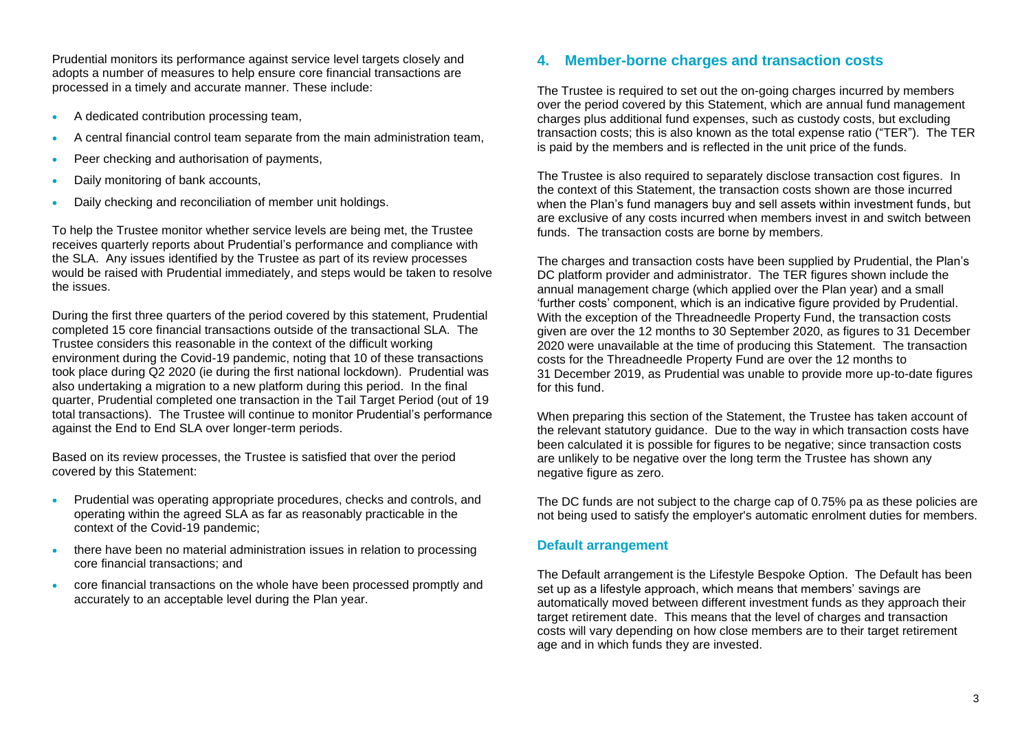Prudential monitors its performance against service level targets closely and adopts a number of measures to help ensure core financial transactions are processed in a timely and accurate manner. These include:

- A dedicated contribution processing team,
- A central financial control team separate from the main administration team,
- Peer checking and authorisation of payments,
- Daily monitoring of bank accounts,
- Daily checking and reconciliation of member unit holdings.

To help the Trustee monitor whether service levels are being met, the Trustee receives quarterly reports about Prudential's performance and compliance with the SLA. Any issues identified by the Trustee as part of its review processes would be raised with Prudential immediately, and steps would be taken to resolve the issues.

During the first three quarters of the period covered by this statement, Prudential completed 15 core financial transactions outside of the transactional SLA. The Trustee considers this reasonable in the context of the difficult working environment during the Covid-19 pandemic, noting that 10 of these transactions took place during Q2 2020 (ie during the first national lockdown). Prudential was also undertaking a migration to a new platform during this period. In the final quarter, Prudential completed one transaction in the Tail Target Period (out of 19 total transactions). The Trustee will continue to monitor Prudential's performance against the End to End SLA over longer-term periods.

Based on its review processes, the Trustee is satisfied that over the period covered by this Statement:

- Prudential was operating appropriate procedures, checks and controls, and operating within the agreed SLA as far as reasonably practicable in the context of the Covid-19 pandemic;
- there have been no material administration issues in relation to processing core financial transactions; and
- core financial transactions on the whole have been processed promptly and accurately to an acceptable level during the Plan year.

# **4. Member-borne charges and transaction costs**

The Trustee is required to set out the on-going charges incurred by members over the period covered by this Statement, which are annual fund management charges plus additional fund expenses, such as custody costs, but excluding transaction costs; this is also known as the total expense ratio ("TER"). The TER is paid by the members and is reflected in the unit price of the funds.

The Trustee is also required to separately disclose transaction cost figures. In the context of this Statement, the transaction costs shown are those incurred when the Plan's fund managers buy and sell assets within investment funds, but are exclusive of any costs incurred when members invest in and switch between funds. The transaction costs are borne by members.

The charges and transaction costs have been supplied by Prudential, the Plan's DC platform provider and administrator. The TER figures shown include the annual management charge (which applied over the Plan year) and a small 'further costs' component, which is an indicative figure provided by Prudential. With the exception of the Threadneedle Property Fund, the transaction costs given are over the 12 months to 30 September 2020, as figures to 31 December 2020 were unavailable at the time of producing this Statement. The transaction costs for the Threadneedle Property Fund are over the 12 months to 31 December 2019, as Prudential was unable to provide more up-to-date figures for this fund.

When preparing this section of the Statement, the Trustee has taken account of the relevant statutory guidance. Due to the way in which transaction costs have been calculated it is possible for figures to be negative; since transaction costs are unlikely to be negative over the long term the Trustee has shown any negative figure as zero.

The DC funds are not subject to the charge cap of 0.75% pa as these policies are not being used to satisfy the employer's automatic enrolment duties for members.

## **Default arrangement**

The Default arrangement is the Lifestyle Bespoke Option. The Default has been set up as a lifestyle approach, which means that members' savings are automatically moved between different investment funds as they approach their target retirement date. This means that the level of charges and transaction costs will vary depending on how close members are to their target retirement age and in which funds they are invested.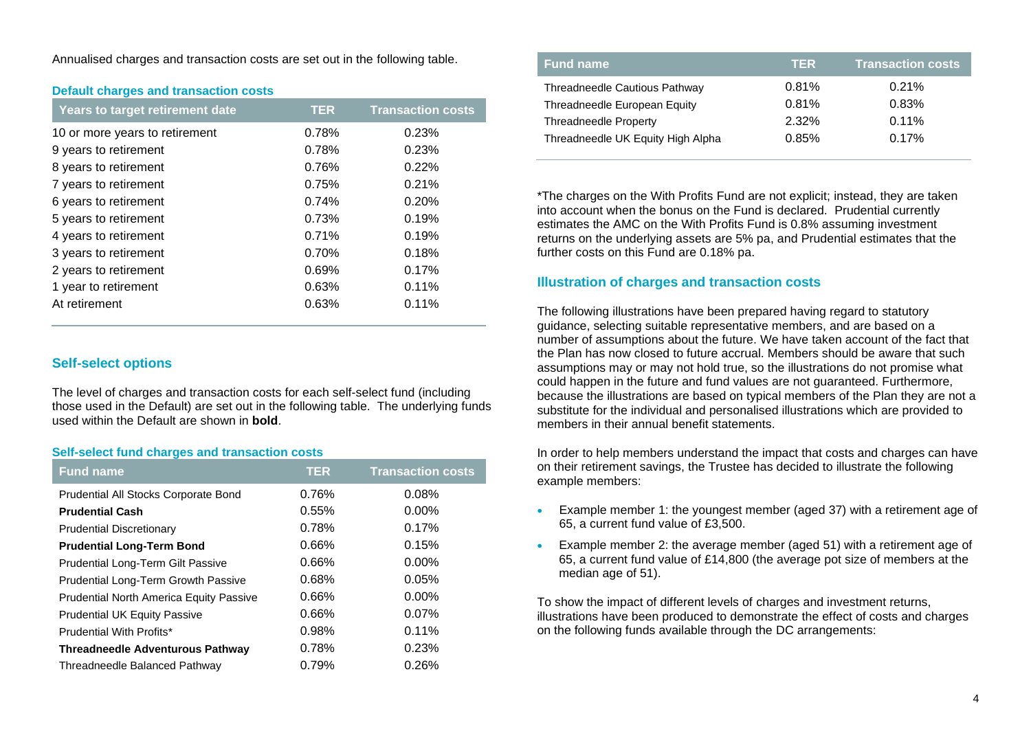Annualised charges and transaction costs are set out in the following table.

|  |  |  | <b>Default charges and transaction costs</b> |  |
|--|--|--|----------------------------------------------|--|
|--|--|--|----------------------------------------------|--|

| Years to target retirement date | <b>TER</b> | <b>Transaction costs</b> |
|---------------------------------|------------|--------------------------|
| 10 or more years to retirement  | 0.78%      | 0.23%                    |
| 9 years to retirement           | 0.78%      | 0.23%                    |
| 8 years to retirement           | 0.76%      | 0.22%                    |
| 7 years to retirement           | 0.75%      | 0.21%                    |
| 6 years to retirement           | 0.74%      | 0.20%                    |
| 5 years to retirement           | 0.73%      | 0.19%                    |
| 4 years to retirement           | 0.71%      | 0.19%                    |
| 3 years to retirement           | 0.70%      | 0.18%                    |
| 2 years to retirement           | 0.69%      | 0.17%                    |
| 1 year to retirement            | 0.63%      | 0.11%                    |
| At retirement                   | 0.63%      | 0.11%                    |

## **Self-select options**

The level of charges and transaction costs for each self-select fund (including those used in the Default) are set out in the following table. The underlying funds used within the Default are shown in **bold**.

## **Self-select fund charges and transaction costs**

| <b>Fund name</b>                               | <b>TER</b> | <b>Transaction costs</b> |
|------------------------------------------------|------------|--------------------------|
| <b>Prudential All Stocks Corporate Bond</b>    | 0.76%      | 0.08%                    |
| <b>Prudential Cash</b>                         | 0.55%      | $0.00\%$                 |
| <b>Prudential Discretionary</b>                | 0.78%      | 0.17%                    |
| <b>Prudential Long-Term Bond</b>               | 0.66%      | 0.15%                    |
| <b>Prudential Long-Term Gilt Passive</b>       | 0.66%      | $0.00\%$                 |
| Prudential Long-Term Growth Passive            | 0.68%      | 0.05%                    |
| <b>Prudential North America Equity Passive</b> | 0.66%      | $0.00\%$                 |
| <b>Prudential UK Equity Passive</b>            | 0.66%      | 0.07%                    |
| Prudential With Profits*                       | 0.98%      | 0.11%                    |
| <b>Threadneedle Adventurous Pathway</b>        | 0.78%      | 0.23%                    |
| Threadneedle Balanced Pathway                  | 0.79%      | 0.26%                    |

| <b>Fund name</b>                  | TER   | <b>Transaction costs</b> |
|-----------------------------------|-------|--------------------------|
| Threadneedle Cautious Pathway     | 0.81% | 0.21%                    |
| Threadneedle European Equity      | 0.81% | 0.83%                    |
| <b>Threadneedle Property</b>      | 2.32% | $0.11\%$                 |
| Threadneedle UK Equity High Alpha | 0.85% | 0.17%                    |

\*The charges on the With Profits Fund are not explicit; instead, they are taken into account when the bonus on the Fund is declared. Prudential currently estimates the AMC on the With Profits Fund is 0.8% assuming investment returns on the underlying assets are 5% pa, and Prudential estimates that the further costs on this Fund are 0.18% pa.

## **Illustration of charges and transaction costs**

The following illustrations have been prepared having regard to statutory guidance, selecting suitable representative members, and are based on a number of assumptions about the future. We have taken account of the fact that the Plan has now closed to future accrual. Members should be aware that such assumptions may or may not hold true, so the illustrations do not promise what could happen in the future and fund values are not guaranteed. Furthermore, because the illustrations are based on typical members of the Plan they are not a substitute for the individual and personalised illustrations which are provided to members in their annual benefit statements.

In order to help members understand the impact that costs and charges can have on their retirement savings, the Trustee has decided to illustrate the following example members:

- Example member 1: the youngest member (aged 37) with a retirement age of 65, a current fund value of £3,500.
- Example member 2: the average member (aged 51) with a retirement age of 65, a current fund value of £14,800 (the average pot size of members at the median age of 51).

To show the impact of different levels of charges and investment returns, illustrations have been produced to demonstrate the effect of costs and charges on the following funds available through the DC arrangements: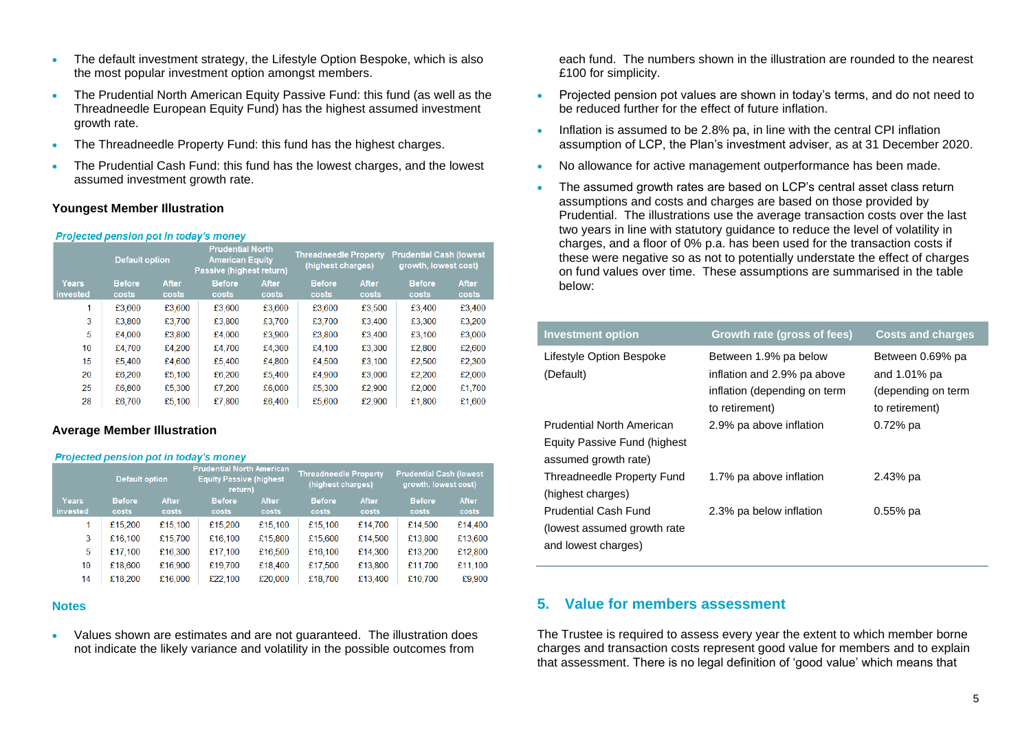- The default investment strategy, the Lifestyle Option Bespoke, which is also the most popular investment option amongst members.
- The Prudential North American Equity Passive Fund: this fund (as well as the Threadneedle European Equity Fund) has the highest assumed investment growth rate.
- The Threadneedle Property Fund: this fund has the highest charges.
- The Prudential Cash Fund: this fund has the lowest charges, and the lowest assumed investment growth rate.

## **Youngest Member Illustration**

#### Projected pension pot in today's money

|                          | <b>Default option</b>  |                | <b>Prudential North</b><br><b>American Equity</b><br>Passive (highest return) |                | <b>Threadneedle Property</b><br>(highest charges) |                | <b>Prudential Cash (lowest)</b><br>growth, lowest cost) |                |
|--------------------------|------------------------|----------------|-------------------------------------------------------------------------------|----------------|---------------------------------------------------|----------------|---------------------------------------------------------|----------------|
| <b>Years</b><br>invested | <b>Before</b><br>costs | After<br>costs | <b>Before</b><br>costs                                                        | After<br>costs | <b>Before</b><br>costs                            | After<br>costs | <b>Before</b><br>costs                                  | After<br>costs |
| 1                        | £3,600                 | £3,600         | £3,600                                                                        | £3,600         | £3,600                                            | £3,500         | £3,400                                                  | £3,400         |
| 3                        | £3,800                 | £3.700         | £3,800                                                                        | £3.700         | £3,700                                            | £3,400         | £3,300                                                  | £3,200         |
| 5                        | £4.000                 | £3.800         | £4.000                                                                        | £3.900         | £3,800                                            | £3,400         | £3,100                                                  | £3,000         |
| 10                       | £4.700                 | £4.200         | £4.700                                                                        | £4,300         | £4.100                                            | £3,300         | £2,800                                                  | £2,600         |
| 15                       | £5.400                 | £4.600         | £5.400                                                                        | £4.800         | £4.500                                            | £3.100         | £2.500                                                  | £2,300         |
| 20                       | £6,200                 | £5.100         | £6,200                                                                        | £5.400         | £4.900                                            | £3,000         | £2,200                                                  | £2,000         |
| 25                       | £6,800                 | £5.300         | £7.200                                                                        | £6,000         | £5.300                                            | £2.900         | £2.000                                                  | £1,700         |
| 28                       | £6,700                 | £5,100         | £7,800                                                                        | £6,400         | £5,600                                            | £2,900         | £1,800                                                  | £1,600         |

## **Average Member Illustration**

#### **Projected pension pot in today's money**

|          | <b>Default option</b> |              | <b>Prudential North American</b><br><b>Equity Passive (highest)</b><br>return) |              | <b>Threadneedle Property</b><br>(highest charges) |              | <b>Prudential Cash (lowest)</b><br>growth, lowest cost) |              |
|----------|-----------------------|--------------|--------------------------------------------------------------------------------|--------------|---------------------------------------------------|--------------|---------------------------------------------------------|--------------|
| Years    | <b>Before</b>         | <b>After</b> | <b>Before</b>                                                                  | <b>After</b> | <b>Before</b>                                     | <b>After</b> | <b>Before</b>                                           | <b>After</b> |
| invested | costs                 | costs        | costs                                                                          | costs        | costs                                             | costs        | costs                                                   | costs        |
| 1        | £15,200               | £15,100      | £15,200                                                                        | £15,100      | £15.100                                           | £14,700      | £14.500                                                 | £14,400      |
| 3        | £16,100               | £15,700      | £16,100                                                                        | £15,800      | £15,600                                           | £14,500      | £13,800                                                 | £13,600      |
| 5        | £17,100               | £16,300      | £17,100                                                                        | £16,500      | £16,100                                           | £14,300      | £13,200                                                 | £12,800      |
| 10       | £18,600               | £16.900      | £19,700                                                                        | £18,400      | £17,500                                           | £13,800      | £11,700                                                 | £11,100      |
| 14       | £18,200               | £16,000      | £22,100                                                                        | £20,000      | £18,700                                           | £13,400      | £10,700                                                 | £9,900       |

#### **Notes**

• Values shown are estimates and are not guaranteed. The illustration does not indicate the likely variance and volatility in the possible outcomes from

each fund. The numbers shown in the illustration are rounded to the nearest £100 for simplicity.

- Projected pension pot values are shown in today's terms, and do not need to be reduced further for the effect of future inflation.
- Inflation is assumed to be 2.8% pa, in line with the central CPI inflation assumption of LCP, the Plan's investment adviser, as at 31 December 2020.
- No allowance for active management outperformance has been made.
- The assumed growth rates are based on LCP's central asset class return assumptions and costs and charges are based on those provided by Prudential. The illustrations use the average transaction costs over the last two years in line with statutory guidance to reduce the level of volatility in charges, and a floor of 0% p.a. has been used for the transaction costs if these were negative so as not to potentially understate the effect of charges on fund values over time. These assumptions are summarised in the table below:

| <b>Investment option</b>                                                           | Growth rate (gross of fees)                                                                            | <b>Costs and charges</b>                                                 |
|------------------------------------------------------------------------------------|--------------------------------------------------------------------------------------------------------|--------------------------------------------------------------------------|
| Lifestyle Option Bespoke<br>(Default)                                              | Between 1.9% pa below<br>inflation and 2.9% pa above<br>inflation (depending on term<br>to retirement) | Between 0.69% pa<br>and 1.01% pa<br>(depending on term<br>to retirement) |
| Prudential North American<br>Equity Passive Fund (highest)<br>assumed growth rate) | 2.9% pa above inflation                                                                                | $0.72%$ pa                                                               |
| Threadneedle Property Fund<br>(highest charges)                                    | 1.7% pa above inflation                                                                                | 2.43% pa                                                                 |
| <b>Prudential Cash Fund</b><br>(lowest assumed growth rate)<br>and lowest charges) | 2.3% pa below inflation                                                                                | $0.55%$ pa                                                               |

## **5. Value for members assessment**

The Trustee is required to assess every year the extent to which member borne charges and transaction costs represent good value for members and to explain that assessment. There is no legal definition of 'good value' which means that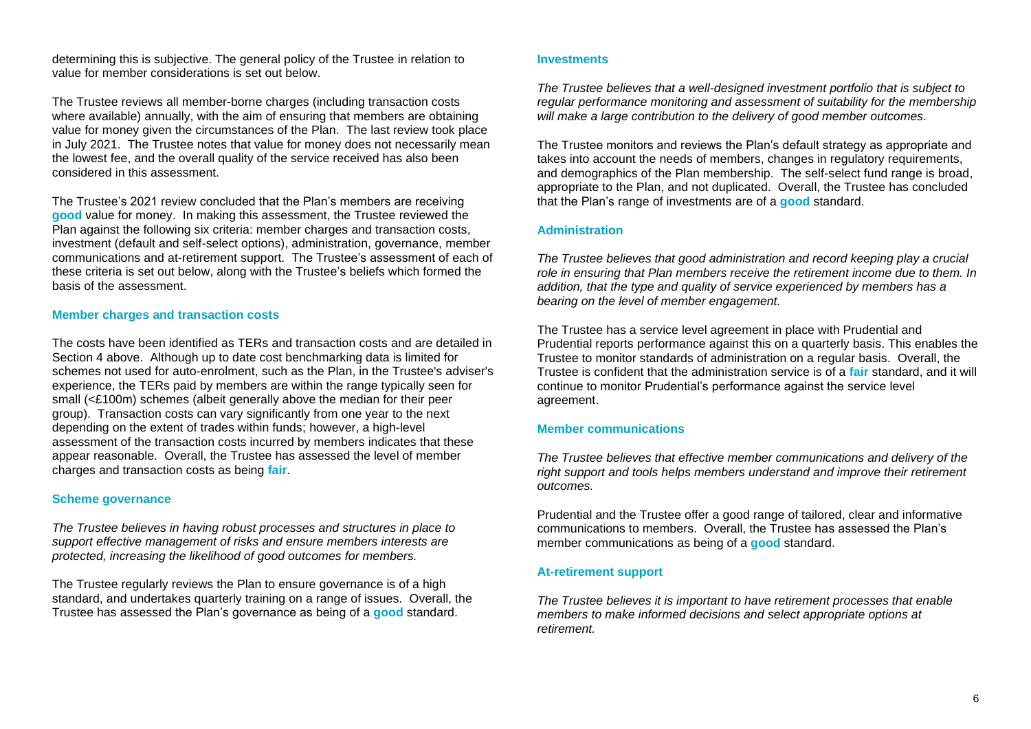determining this is subjective. The general policy of the Trustee in relation to value for member considerations is set out below.

The Trustee reviews all member-borne charges (including transaction costs where available) annually, with the aim of ensuring that members are obtaining value for money given the circumstances of the Plan. The last review took place in July 2021. The Trustee notes that value for money does not necessarily mean the lowest fee, and the overall quality of the service received has also been considered in this assessment.

The Trustee's 2021 review concluded that the Plan's members are receiving **good** value for money. In making this assessment, the Trustee reviewed the Plan against the following six criteria: member charges and transaction costs, investment (default and self-select options), administration, governance, member communications and at-retirement support. The Trustee's assessment of each of these criteria is set out below, along with the Trustee's beliefs which formed the basis of the assessment.

#### **Member charges and transaction costs**

The costs have been identified as TERs and transaction costs and are detailed in Section 4 above. Although up to date cost benchmarking data is limited for schemes not used for auto-enrolment, such as the Plan, in the Trustee's adviser's experience, the TERs paid by members are within the range typically seen for small (<£100m) schemes (albeit generally above the median for their peer group). Transaction costs can vary significantly from one year to the next depending on the extent of trades within funds; however, a high-level assessment of the transaction costs incurred by members indicates that these appear reasonable. Overall, the Trustee has assessed the level of member charges and transaction costs as being **fair**.

## **Scheme governance**

*The Trustee believes in having robust processes and structures in place to support effective management of risks and ensure members interests are protected, increasing the likelihood of good outcomes for members.*

The Trustee regularly reviews the Plan to ensure governance is of a high standard, and undertakes quarterly training on a range of issues. Overall, the Trustee has assessed the Plan's governance as being of a **good** standard.

#### **Investments**

*The Trustee believes that a well-designed investment portfolio that is subject to regular performance monitoring and assessment of suitability for the membership will make a large contribution to the delivery of good member outcomes.*

The Trustee monitors and reviews the Plan's default strategy as appropriate and takes into account the needs of members, changes in regulatory requirements, and demographics of the Plan membership. The self-select fund range is broad, appropriate to the Plan, and not duplicated. Overall, the Trustee has concluded that the Plan's range of investments are of a **good** standard.

#### **Administration**

*The Trustee believes that good administration and record keeping play a crucial role in ensuring that Plan members receive the retirement income due to them. In addition, that the type and quality of service experienced by members has a bearing on the level of member engagement.* 

The Trustee has a service level agreement in place with Prudential and Prudential reports performance against this on a quarterly basis. This enables the Trustee to monitor standards of administration on a regular basis. Overall, the Trustee is confident that the administration service is of a **fair** standard, and it will continue to monitor Prudential's performance against the service level agreement.

## **Member communications**

*The Trustee believes that effective member communications and delivery of the right support and tools helps members understand and improve their retirement outcomes.* 

Prudential and the Trustee offer a good range of tailored, clear and informative communications to members. Overall, the Trustee has assessed the Plan's member communications as being of a **good** standard.

## **At-retirement support**

*The Trustee believes it is important to have retirement processes that enable members to make informed decisions and select appropriate options at retirement.*